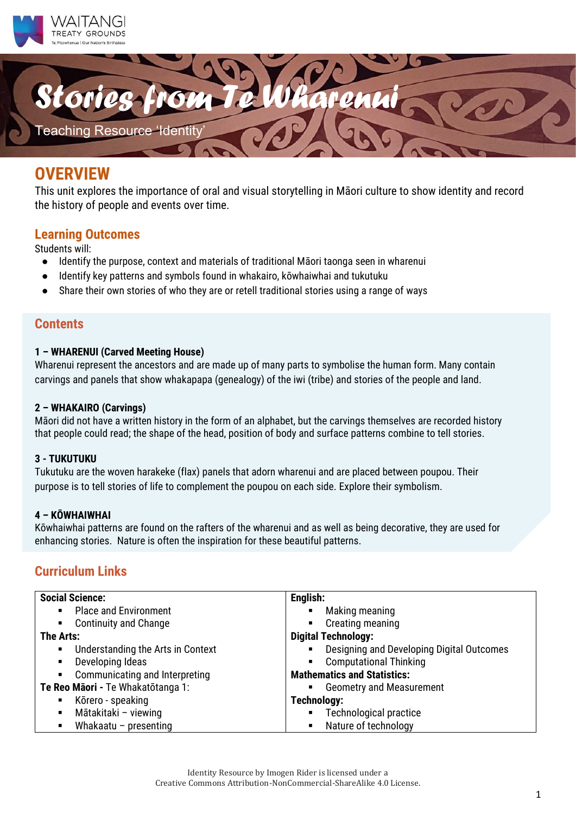



## **OVERVIEW**

This unit explores the importance of oral and visual storytelling in Māori culture to show identity and record the history of people and events over time.

#### **Learning Outcomes**

Students will:<br>• Identify

- Identify the purpose, context and materials of traditional Māori taonga seen in wharenui
- Identify key patterns and symbols found in whakairo, kōwhaiwhai and tukutuku
- Share their own stories of who they are or retell traditional stories using a range of ways

#### **Contents**

#### **1 – WHARENUI (Carved Meeting House)**

Wharenui represent the ancestors and are made up of many parts to symbolise the human form. Many contain carvings and panels that show whakapapa (genealogy) of the iwi (tribe) and stories of the people and land.

#### **2 – WHAKAIRO (Carvings)**

Māori did not have a written history in the form of an alphabet, but the carvings themselves are recorded history that people could read; the shape of the head, position of body and surface patterns combine to tell stories.

#### **3 - TUKUTUKU**

Tukutuku are the woven harakeke (flax) panels that adorn wharenui and are placed between poupou. Their purpose is to tell stories of life to complement the poupou on each side. Explore their symbolism.

#### **4 – KŌWHAIWHAI**

Kōwhaiwhai patterns are found on the rafters of the wharenui and as well as being decorative, they are used for enhancing stories. Nature is often the inspiration for these beautiful patterns.

### **Curriculum Links**

| <b>Social Science:</b>                                      | English:                                  |
|-------------------------------------------------------------|-------------------------------------------|
| <b>Place and Environment</b><br>$\blacksquare$              | Making meaning                            |
| <b>Continuity and Change</b><br>$\mathbf{m}$ , $\mathbf{m}$ | Creating meaning<br>$\blacksquare$        |
| <b>The Arts:</b>                                            | <b>Digital Technology:</b>                |
| Understanding the Arts in Context<br>$\blacksquare$         | Designing and Developing Digital Outcomes |
| Developing Ideas<br>٠                                       | <b>Computational Thinking</b>             |
| Communicating and Interpreting<br>$\blacksquare$            | <b>Mathematics and Statistics:</b>        |
| Te Reo Māori - Te Whakatōtanga 1:                           | <b>Geometry and Measurement</b>           |
| Kōrero - speaking<br>$\blacksquare$                         | Technology:                               |
| Mātakitaki - viewing<br>$\blacksquare$                      | Technological practice                    |
| Whakaatu – presenting<br>п                                  | Nature of technology<br>$\blacksquare$    |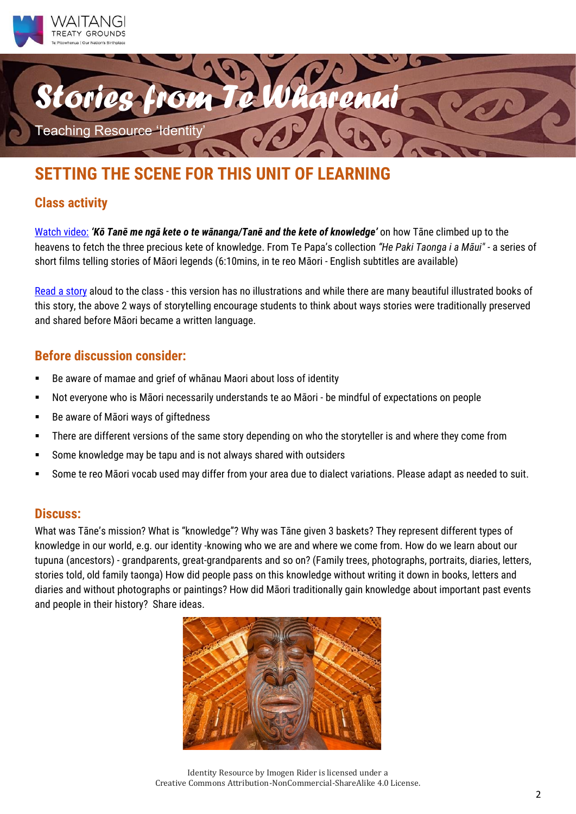



# **SETTING THE SCENE FOR THIS UNIT OF LEARNING**

### **Class activity**

[Watch video:](https://www.tepapa.govt.nz/discover-collections/read-watch-play/maori/he-paki-taonga-i-maui) *'Kō Tanē me ngā kete o te wānanga/Tanē and the kete of knowledge'* on how Tāne climbed up to the heavens to fetch the three precious kete of knowledge. From Te Papa's collection *"He Paki Taonga i a Māui" -* a series of short films telling stories of Māori legends (6:10mins, in te reo Māori - English subtitles are available)

[Read a story](https://www.knowledge-basket.co.nz/about/knowledge-basket-legend/) aloud to the class - this version has no illustrations and while there are many beautiful illustrated books of this story, the above 2 ways of storytelling encourage students to think about ways stories were traditionally preserved and shared before Māori became a written language.

### **Before discussion consider:**

- Be aware of mamae and grief of whanau Maori about loss of identity
- Not everyone who is Māori necessarily understands te ao Māori be mindful of expectations on people
- Be aware of Māori ways of giftedness
- There are different versions of the same story depending on who the storyteller is and where they come from
- Some knowledge may be tapu and is not always shared with outsiders
- Some te reo Māori vocab used may differ from your area due to dialect variations. Please adapt as needed to suit.

### **Discuss:**

What was Tāne's mission? What is "knowledge"? Why was Tāne given 3 baskets? They represent different types of knowledge in our world, e.g. our identity -knowing who we are and where we come from. How do we learn about our tupuna (ancestors) - grandparents, great-grandparents and so on? (Family trees, photographs, portraits, diaries, letters, stories told, old family taonga) How did people pass on this knowledge without writing it down in books, letters and diaries and without photographs or paintings? How did Māori traditionally gain knowledge about important past events and people in their history? Share ideas.



Identity Resource by Imogen Rider is licensed under a Creative Commons Attribution-NonCommercial-ShareAlike 4.0 License.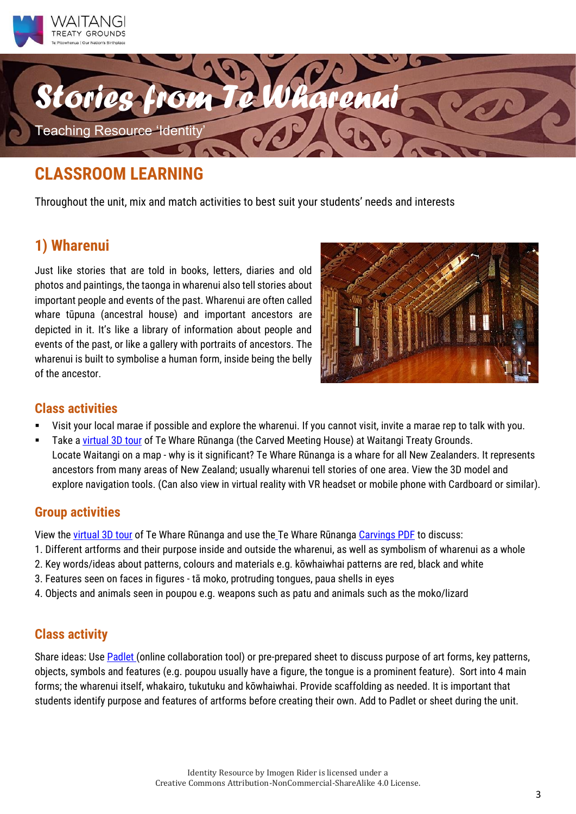



Throughout the unit, mix and match activities to best suit your students' needs and interests

## **1) Wharenui**

Just like stories that are told in books, letters, diaries and old photos and paintings, the taonga in wharenui also tell stories about important people and events of the past. Wharenui are often called whare tūpuna (ancestral house) and important ancestors are depicted in it. It's like a library of information about people and events of the past, or like a gallery with portraits of ancestors. The wharenui is built to symbolise a human form, inside being the belly of the ancestor.



### **Class activities**

- Visit your local marae if possible and explore the wharenui. If you cannot visit, invite a marae rep to talk with you.
- Take [a virtual 3D tour](https://www.cyark.org/projects/waitangi/3D-Explorer) of Te Whare Rūnanga (the Carved Meeting House) at Waitangi Treaty Grounds. Locate Waitangi on a map - why is it significant? Te Whare Rūnanga is a whare for all New Zealanders. It represents ancestors from many areas of New Zealand; usually wharenui tell stories of one area. View the 3D model and explore navigation tools. (Can also view in virtual reality with VR headset or mobile phone with Cardboard or similar).

### **Group activities**

View th[e virtual 3D tour](https://www.cyark.org/projects/waitangi/3D-Explorer) of Te Whare Rūnanga and use the Te Whare Rūnanga [Carvings PDF](https://drive.google.com/file/d/1oJesaP-4DN3FwXWRqVzvY5PCyIDsYPtB/view?usp=sharing) to discuss:

- 1. Different artforms and their purpose inside and outside the wharenui, as well as symbolism of wharenui as a whole
- 2. Key words/ideas about patterns, colours and materials e.g. kōwhaiwhai patterns are red, black and white
- 3. Features seen on faces in figures tā moko, protruding tongues, paua shells in eyes
- 4. Objects and animals seen in poupou e.g. weapons such as patu and animals such as the moko/lizard

### **Class activity**

Share ideas: Use **[Padlet](https://padlet.com/dashboard)** (online collaboration tool) or pre-prepared sheet to discuss purpose of art forms, key patterns, objects, symbols and features (e.g. poupou usually have a figure, the tongue is a prominent feature). Sort into 4 main forms; the wharenui itself, whakairo, tukutuku and kōwhaiwhai. Provide scaffolding as needed. It is important that students identify purpose and features of artforms before creating their own. Add to Padlet or sheet during the unit.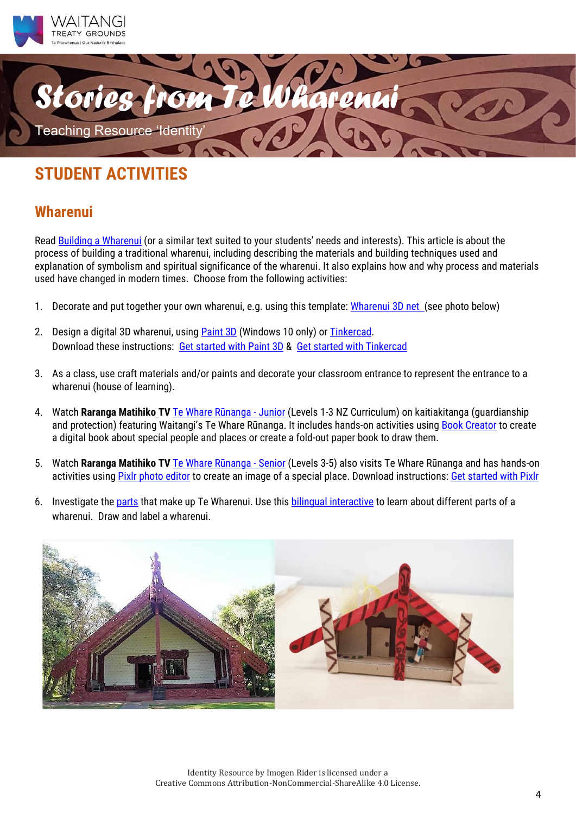



### **Wharenui**

Read [Building a Wharenui](http://instructionalseries.tki.org.nz/Instructional-Series/Connected/Connected-2011-Level-2-Structure/Building-a-Wharenui) (or a similar text suited to your students' needs and interests). This article is about the process of building a traditional wharenui, including describing the materials and building techniques used and explanation of symbolism and spiritual significance of the wharenui. It also explains how and why process and materials used have changed in modern times. Choose from the following activities:

- 1. Decorate and put together your own wharenui, e.g. using this template: [Wharenui 3D net](https://drive.google.com/drive/folders/1swCeUYzdPwh6UM5dz6e0_RHE_yu2sDRk) (see photo below)
- 2. Design a digital 3D wharenui, using [Paint 3D](https://paint-3d.en.softonic.com/) (Windows 10 only) or **Tinkercad**. Download these instructions: [Get started with Paint 3D](https://drive.google.com/file/d/1ctVCnPGxHwhGraHK02LzlmHZEgJOQBjh/view?ts=5f1e38c9) & [Get started with Tinkercad](https://rarangamatihiko.com/resources/getting-started-with-tinkercad)
- 3. As a class, use craft materials and/or paints and decorate your classroom entrance to represent the entrance to a wharenui (house of learning).
- 4. Watch **Raranga Matihiko TV** [Te Whare Rūnanga](https://rarangamatihiko.com/home-learning/rmtv-episode-4a-whanau-juniors) Junior (Levels 1-3 NZ Curriculum) on kaitiakitanga (guardianship and protection) featuring Waitangi's Te Whare Rūnanga. It includes hands-on activities using **Book Creator** to create a digital book about special people and places or create a fold-out paper book to draw them.
- 5. Watch **Raranga Matihiko TV** [Te Whare Rūnanga](https://rarangamatihiko.com/home-learning/rmtv-episode-4b-whanau-seniors) Senior (Levels 3-5) also visits Te Whare Rūnanga and has hands-on activities using [Pixlr photo editor](https://pixlr.com/) to create an image of a special place. Download instructions: [Get started with Pixlr](https://drive.google.com/file/d/1lV0JDVnznOyxP7KbuXelrh1qDQi1B3Ja/view?ts=5f1e38ba)
- 6. Investigate th[e parts](https://www.sciencelearn.org.nz/images/2284-wharenui) that make up Te Wharenui. Use this [bilingual interactive](https://www.wicked.org.nz/Interactives/Maori-themed-interactives-in-English/Wharenui) to learn about different parts of a wharenui. Draw and label a wharenui.

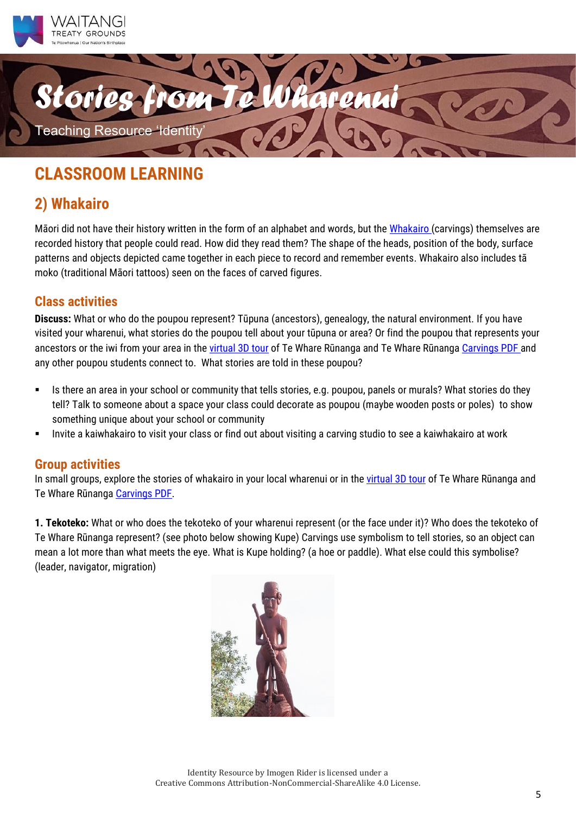



## **2) Whakairo**

Māori did not have their history written in the form of an alphabet and words, but the [Whakairo](http://www.maori.org.nz/whakairo/default.php?pid=sp34&parent=58) (carvings) themselves are recorded history that people could read. How did they read them? The shape of the heads, position of the body, surface patterns and objects depicted came together in each piece to record and remember events. Whakairo also includes tā moko (traditional Māori tattoos) seen on the faces of carved figures.

### **Class activities**

**Discuss:** What or who do the poupou represent? Tūpuna (ancestors), genealogy, the natural environment. If you have visited your wharenui, what stories do the poupou tell about your tūpuna or area? Or find the poupou that represents your ancestors or the iwi from your area in the [virtual 3D tour](https://www.cyark.org/projects/waitangi/3D-Explorer) of Te Whare Rūnanga and Te Whare Rūnanga [Carvings PDF](https://drive.google.com/file/d/1oJesaP-4DN3FwXWRqVzvY5PCyIDsYPtB/view?usp=sharing) and any other poupou students connect to. What stories are told in these poupou?

- Is there an area in your school or community that tells stories, e.g. poupou, panels or murals? What stories do they tell? Talk to someone about a space your class could decorate as poupou (maybe wooden posts or poles) to show something unique about your school or community
- Invite a kaiwhakairo to visit your class or find out about visiting a carving studio to see a kaiwhakairo at work

### **Group activities**

In small groups, explore the stories of whakairo in your local wharenui or in the [virtual 3D tour](https://www.cyark.org/projects/waitangi/3D-Explorer) of Te Whare Rūnanga and Te Whare Rūnanga [Carvings PDF.](https://drive.google.com/file/d/1oJesaP-4DN3FwXWRqVzvY5PCyIDsYPtB/view?usp=sharing)

**1. Tekoteko:** What or who does the tekoteko of your wharenui represent (or the face under it)? Who does the tekoteko of Te Whare Rūnanga represent? (see photo below showing Kupe) Carvings use symbolism to tell stories, so an object can mean a lot more than what meets the eye. What is Kupe holding? (a hoe or paddle). What else could this symbolise? (leader, navigator, migration)

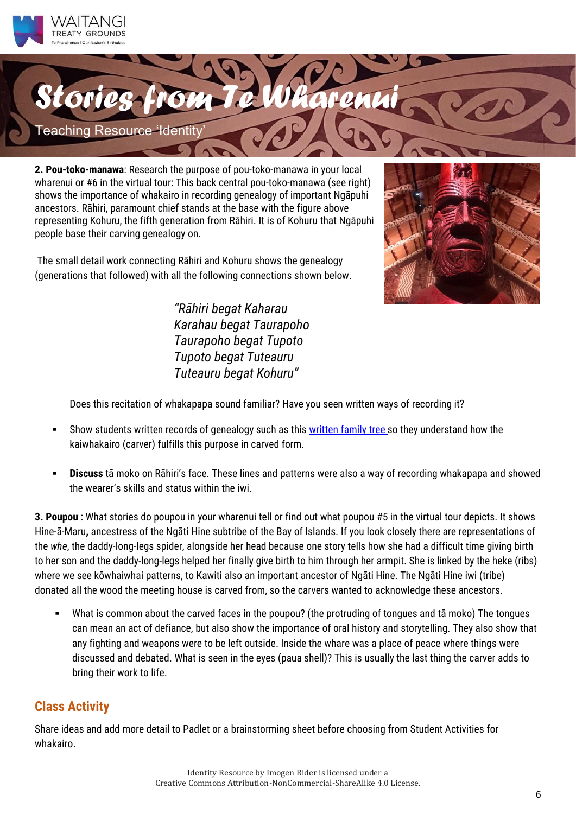



**2. Pou-toko-manawa**: Research the purpose of pou-toko-manawa in your local wharenui or #6 in the virtual tour: This back central pou-toko-manawa (see right) shows the importance of whakairo in recording genealogy of important Ngāpuhi ancestors. Rāhiri, paramount chief stands at the base with the figure above representing Kohuru, the fifth generation from Rāhiri. It is of Kohuru that Ngāpuhi people base their carving genealogy on.

The small detail work connecting Rāhiri and Kohuru shows the genealogy (generations that followed) with all the following connections shown below.



*"Rāhiri begat Kaharau Karahau begat Taurapoho Taurapoho begat Tupoto Tupoto begat Tuteauru Tuteauru begat Kohuru"*

Does this recitation of whakapapa sound familiar? Have you seen written ways of recording it?

- Show students written records of genealogy such as this [written family tree](https://commons.wikimedia.org/wiki/File:Family_tree.svg) so they understand how the kaiwhakairo (carver) fulfills this purpose in carved form.
- **Discuss** tā moko on Rāhiri's face. These lines and patterns were also a way of recording whakapapa and showed the wearer's skills and status within the iwi.

**3. Poupou** : What stories do poupou in your wharenui tell or find out what poupou #5 in the virtual tour depicts. It shows Hine-ā-Maru**,** ancestress of the Ngāti Hine subtribe of the Bay of Islands. If you look closely there are representations of the *whe*, the daddy-long-legs spider, alongside her head because one story tells how she had a difficult time giving birth to her son and the daddy-long-legs helped her finally give birth to him through her armpit. She is linked by the heke (ribs) where we see kōwhaiwhai patterns, to Kawiti also an important ancestor of Ngāti Hine. The Ngāti Hine iwi (tribe) donated all the wood the meeting house is carved from, so the carvers wanted to acknowledge these ancestors.

What is common about the carved faces in the poupou? (the protruding of tongues and tā moko) The tongues can mean an act of defiance, but also show the importance of oral history and storytelling. They also show that any fighting and weapons were to be left outside. Inside the whare was a place of peace where things were discussed and debated. What is seen in the eyes (paua shell)? This is usually the last thing the carver adds to bring their work to life.

### **Class Activity**

Share ideas and add more detail to Padlet or a brainstorming sheet before choosing from Student Activities for whakairo.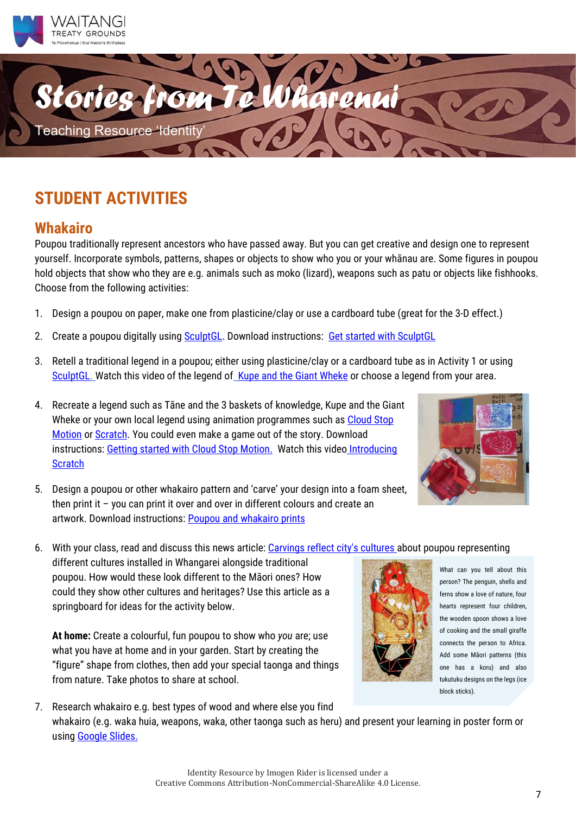



### **Whakairo**

Poupou traditionally represent ancestors who have passed away. But you can get creative and design one to represent yourself. Incorporate symbols, patterns, shapes or objects to show who you or your whānau are. Some figures in poupou hold objects that show who they are e.g. animals such as moko (lizard), weapons such as patu or objects like fishhooks. Choose from the following activities:

- 1. Design a poupou on paper, make one from plasticine/clay or use a cardboard tube (great for the 3-D effect.)
- 2. Create a poupou digitally usin[g SculptGL.](https://stephaneginier.com/sculptgl/) Download instructions: [Get started with SculptGL](https://drive.google.com/file/d/1fo1TFnNWabob3p58c_t6rBQsCzUS2XgM/view)
- 3. Retell a traditional legend in a poupou; either using plasticine/clay or a cardboard tube as in Activity 1 or using [SculptGL.](https://stephaneginier.com/sculptgl/) Watch this video of the legend of [Kupe and the Giant Wheke](https://www.tepapa.govt.nz/discover-collections/read-watch-play/maori/he-paki-taonga-i-maui) or choose a legend from your area.
- 4. Recreate a legend such as Tāne and the 3 baskets of knowledge, Kupe and the Giant Wheke or your own local legend using animation programmes such as [Cloud](https://cloudstopmotion.com/) Stop [Motion](https://cloudstopmotion.com/) o[r Scratch.](https://scratch.mit.edu/) You could even make a game out of the story. Download instructions: [Getting started with Cloud Stop Motion.](https://drive.google.com/file/d/1aeDBgEC7IaRbtqRVkWlFRS2DyGlguRnS/view?usp=sharing) Watch this video Introducing **[Scratch](https://youtu.be/NTY7jAODNqM)**



- 5. Design a poupou or other whakairo pattern and 'carve' your design into a foam sheet, then print it – you can print it over and over in different colours and create an artwork. Download instructions: [Poupou and whakairo](https://drive.google.com/drive/folders/1rgap7Kd51KKv4xvZkopatg6dbifsW8wc) prints
- 6. With your class, read and discuss this news article: [Carvings reflect city's cultures](https://www.nzherald.co.nz/northern-advocate/news/article.cfm?c_id=1503450&objectid=10933240) about poupou representing

different cultures installed in Whangarei alongside traditional poupou. How would these look different to the Māori ones? How could they show other cultures and heritages? Use this article as a springboard for ideas for the activity below.

**At home:** Create a colourful, fun poupou to show who *you* are; use what you have at home and in your garden. Start by creating the "figure" shape from clothes, then add your special taonga and things from nature. Take photos to share at school.



What can you tell about this person? The penguin, shells and ferns show a love of nature, four hearts represent four children, the wooden spoon shows a love of cooking and the small giraffe connects the person to Africa. Add some Māori patterns (this one has a koru) and also tukutuku designs on the legs (ice block sticks).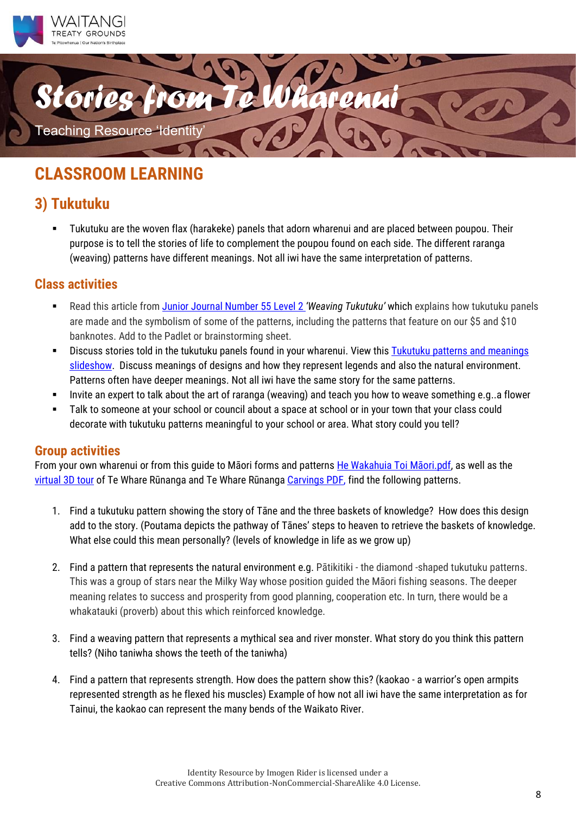



## **3) Tukutuku**

▪ Tukutuku are the woven flax (harakeke) panels that adorn wharenui and are placed between poupou. Their purpose is to tell the stories of life to complement the poupou found on each side. The different raranga (weaving) patterns have different meanings. Not all iwi have the same interpretation of patterns.

### **Class activities**

- Read this article from *Junior Journal Number 55 Level 2 'Weaving Tukutuku'* which explains how tukutuku panels are made and the symbolism of some of the patterns, including the patterns that feature on our \$5 and \$10 banknotes. Add to the Padlet or brainstorming sheet.
- Discuss stories told in the tukutuku panels found in your wharenui. View this Tukutuku patterns and meanings [slideshow.](http://www.maori.org.nz/slideshow/category.php?CategoryID=15) Discuss meanings of designs and how they represent legends and also the natural environment. Patterns often have deeper meanings. Not all iwi have the same story for the same patterns.
- Invite an expert to talk about the art of raranga (weaving) and teach you how to weave something e.g. a flower
- Talk to someone at your school or council about a space at school or in your town that your class could decorate with tukutuku patterns meaningful to your school or area. What story could you tell?

### **Group activities**

From your own wharenui or from this guide to Māori forms and patterns [He Wakahuia Toi Māori.pdf](about:blank), as well as the [virtual 3D tour](https://www.cyark.org/projects/waitangi/3D-Explorer) of Te Whare Rūnanga and Te Whare Rūnanga [Carvings PDF,](https://drive.google.com/file/d/1oJesaP-4DN3FwXWRqVzvY5PCyIDsYPtB/view?usp=sharing) find the following patterns.

- 1. Find a tukutuku pattern showing the story of Tāne and the three baskets of knowledge? How does this design add to the story. (Poutama depicts the pathway of Tānes' steps to heaven to retrieve the baskets of knowledge. What else could this mean personally? (levels of knowledge in life as we grow up)
- 2. Find a pattern that represents the natural environment e.g. Pātikitiki the diamond -shaped tukutuku patterns. This was a group of stars near the Milky Way whose position guided the Māori fishing seasons. The deeper meaning relates to success and prosperity from good planning, cooperation etc. In turn, there would be a whakatauki (proverb) about this which reinforced knowledge.
- 3. Find a weaving pattern that represents a mythical sea and river monster. What story do you think this pattern tells? (Niho taniwha shows the teeth of the taniwha)
- 4. Find a pattern that represents strength. How does the pattern show this? (kaokao a warrior's open armpits represented strength as he flexed his muscles) Example of how not all iwi have the same interpretation as for Tainui, the kaokao can represent the many bends of the Waikato River.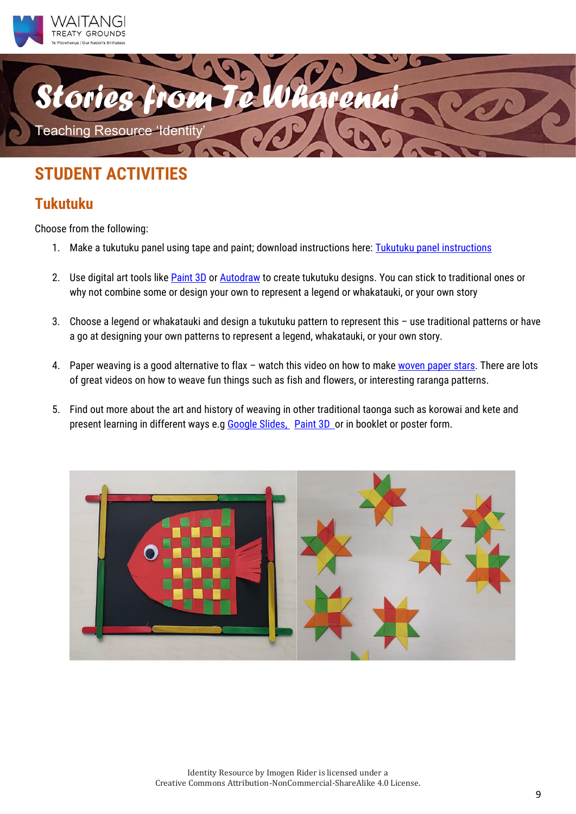



### **Tukutuku**

Choose from the following:

- 1. Make a tukutuku panel using tape and paint; download instructions here: [Tukutuku panel instructions](https://drive.google.com/drive/folders/1rgap7Kd51KKv4xvZkopatg6dbifsW8wc)
- 2. Use digital art tools lik[e Paint 3D](https://paint-3d.en.softonic.com/) or [Autodraw](https://www.autodraw.com/) to create tukutuku designs. You can stick to traditional ones or why not combine some or design your own to represent a legend or whakatauki, or your own story
- 3. Choose a legend or whakatauki and design a tukutuku pattern to represent this use traditional patterns or have a go at designing your own patterns to represent a legend, whakatauki, or your own story.
- 4. Paper weaving is a good alternative to flax watch this video on how to mak[e woven paper stars.](https://www.youtube.com/watch?v=qSjyDqztzaQ&t=247s) There are lots of great videos on how to weave fun things such as fish and flowers, or interesting raranga patterns.
- 5. Find out more about the art and history of weaving in other traditional taonga such as korowai and kete and present learning in different ways e.g Google Slides. [Paint](https://paint-3d.en.softonic.com/) 3D or in booklet or poster form.

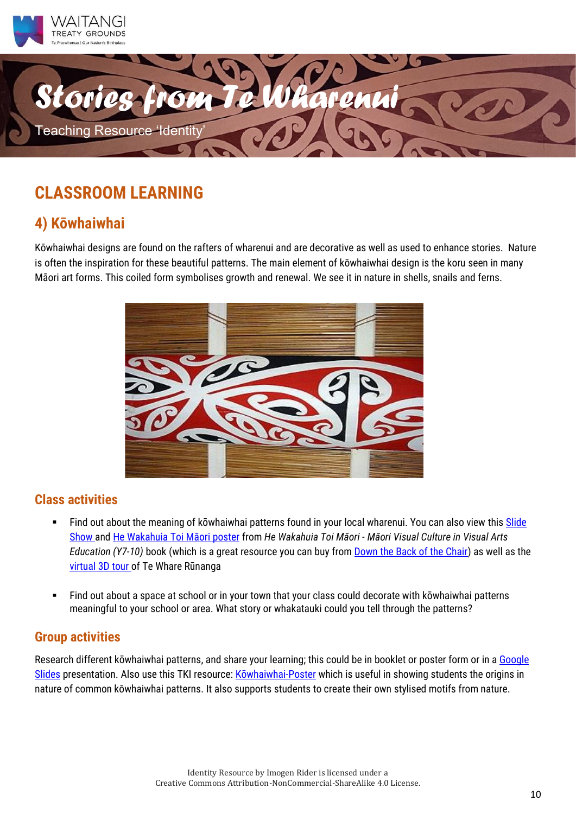



## **4) Kōwhaiwhai**

Kōwhaiwhai designs are found on the rafters of wharenui and are decorative as well as used to enhance stories. Nature is often the inspiration for these beautiful patterns. The main element of kōwhaiwhai design is the koru seen in many Māori art forms. This coiled form symbolises growth and renewal. We see it in nature in shells, snails and ferns.



### **Class activities**

- **EXTER 15 Find out about the meaning of kōwhaiwhai patterns found in your local wharenui. You can also view this Slide** [Show](http://www.maori.org.nz/slideshow/category.asp?CategoryID=15) and [He Wakahuia Toi Māori p](https://drive.google.com/file/d/1uYzIhfMuWiD8WkhQT-qZsyjiYj5ZIZWZ/view?usp=sharing)oster from *He Wakahuia Toi Māori - Māori Visual Culture in Visual Arts Education (Y7-10)* book (which is a great resource you can buy from [Down the Back of the Chair\)](http://www.thechair.co.nz/j/ep?AI=Ek5o3fTammnVPBqm&P1=frameset.htm) as well as the virtual 3D tour of Te Whare Rūnanga
- Find out about a space at school or in your town that your class could decorate with kōwhaiwhai patterns meaningful to your school or area. What story or whakatauki could you tell through the patterns?

### **Group activities**

Research different kōwhaiwhai patterns, and share your learning; this could be in booklet or poster form or in a Google [Slides](https://www.google.com/slides/about/) presentation. Also use this TKI resource: Kō[whaiwhai-Poster](https://artsonline.tki.org.nz/Planning-tools/Teacher-Resource-Exchange/Maori-Kowhaiwhai-Poster) which is useful in showing students the origins in nature of common kōwhaiwhai patterns. It also supports students to create their own stylised motifs from nature.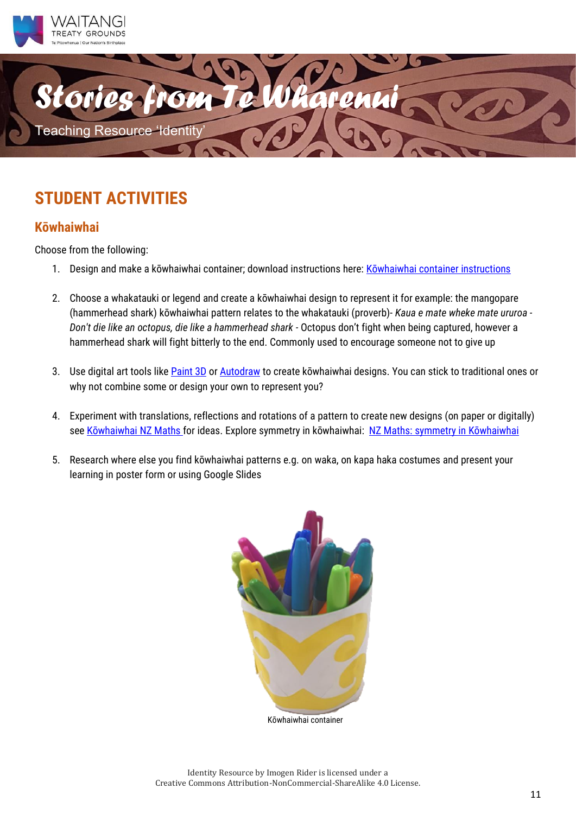



### **Kōwhaiwhai**

Choose from the following:

- 1. Design and make a kōwhaiwhai container; download instructions here: Kowhaiwhai container instructions
- 2. Choose a whakatauki or legend and create a kōwhaiwhai design to represent it for example: the mangopare (hammerhead shark) kōwhaiwhai pattern relates to the whakatauki (proverb)- *Kaua e mate wheke mate ururoa - Don't die like an octopus, die like a hammerhead shark -* Octopus don't fight when being captured, however a hammerhead shark will fight bitterly to the end. Commonly used to encourage someone not to give up
- 3. Use digital art tools lik[e Paint 3D](https://paint-3d.en.softonic.com/) or [Autodraw](https://www.autodraw.com/) to create kōwhaiwhai designs. You can stick to traditional ones or why not combine some or design your own to represent you?
- 4. Experiment with translations, reflections and rotations of a pattern to create new designs (on paper or digitally) see [Kōwhaiwhai NZ Maths](https://nzmaths.co.nz/sites/default/files/2020-05/Kowhaiwhai.pdf) for ideas. Explore symmetry in kōwhaiwhai: NZ Maths: s[ymmetry in Kōwhaiwhai](https://nzmaths.co.nz/resource/i-spy-symmetry)
- 5. Research where else you find kōwhaiwhai patterns e.g. on waka, on kapa haka costumes and present your learning in poster form or using Google Slides

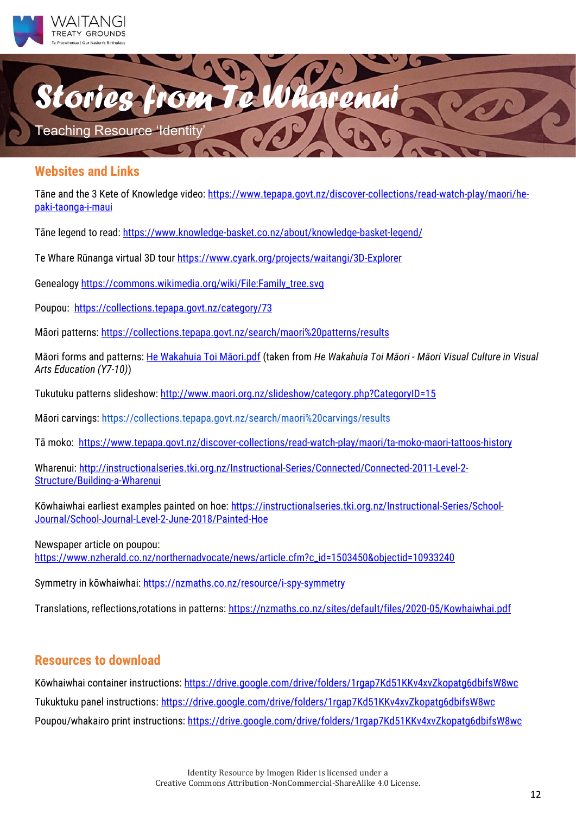



### **Websites and Links**

Tāne and the 3 Kete of Knowledge video: [https://www.tepapa.govt.nz/discover-collections/read-watch-play/maori/he](https://www.tepapa.govt.nz/discover-collections/read-watch-play/maori/he-paki-taonga-i-maui)[paki-taonga-i-maui](https://www.tepapa.govt.nz/discover-collections/read-watch-play/maori/he-paki-taonga-i-maui)

Tāne legend to read:<https://www.knowledge-basket.co.nz/about/knowledge-basket-legend/>

Te Whare Rūnanga virtual 3D tour<https://www.cyark.org/projects/waitangi/3D-Explorer>

Genealogy [https://commons.wikimedia.org/wiki/File:Family\\_tree.svg](https://commons.wikimedia.org/wiki/File:Family_tree.svg) 

Poupou: [https://collections.tepapa.govt.nz/category/73](https://collections.tepapa.govt.nz/category/732)

Māori patterns[: https://collections.tepapa.govt.nz/search/maori%20patterns/results](https://collections.tepapa.govt.nz/search/maori%20patterns/results)

Māori forms and patterns: [He Wakahuia Toi Māori.pdf](https://drive.google.com/file/d/1uYzIhfMuWiD8WkhQT-qZsyjiYj5ZIZWZ/view?usp=sharing) (taken from *He Wakahuia Toi Māori - Māori Visual Culture in Visual Arts Education (Y7-10)*)

Tukutuku patterns slideshow:<http://www.maori.org.nz/slideshow/category.php?CategoryID=15>

Māori carving[s:](https://collections.tepapa.govt.nz/search/maori%20carvings/results) <https://collections.tepapa.govt.nz/search/maori%20carvings/results>

Tā moko: <https://www.tepapa.govt.nz/discover-collections/read-watch-play/maori/ta-moko-maori-tattoos-history>

Wharenui[: http://instructionalseries.tki.org.nz/Instructional-Series/Connected/Connected-2011-Level-2-](http://instructionalseries.tki.org.nz/Instructional-Series/Connected/Connected-2011-Level-2-Structure/Building-a-Wharenui) [Structure/Building-a-Wharenui](http://instructionalseries.tki.org.nz/Instructional-Series/Connected/Connected-2011-Level-2-Structure/Building-a-Wharenui) 

Kōwhaiwhai earliest examples painted on hoe: [https://instructionalseries.tki.org.nz/Instructional-Series/School-](https://instructionalseries.tki.org.nz/Instructional-Series/School-Journal/School-Journal-Level-2-June-2018/Painted-Hoe)[Journal/School-Journal-Level-2-June-2018/Painted-Hoe](https://instructionalseries.tki.org.nz/Instructional-Series/School-Journal/School-Journal-Level-2-June-2018/Painted-Hoe)

Newspaper article on poupou: [https://www.nzherald.co.nz/northernadvocate/news/article.cfm?c\\_id=1503450&objectid=10933240](https://www.nzherald.co.nz/northernadvocate/news/article.cfm?c_id=1503450&objectid=10933240)

Symmetry in kōwhaiwhai: <https://nzmaths.co.nz/resource/i-spy-symmetry>

Translations, reflections,rotations in patterns:<https://nzmaths.co.nz/sites/default/files/2020-05/Kowhaiwhai.pdf>

### **Resources to download**

Kōwhaiwhai container instructions: <https://drive.google.com/drive/folders/1rgap7Kd51KKv4xvZkopatg6dbifsW8wc> Tukuktuku panel instructions:<https://drive.google.com/drive/folders/1rgap7Kd51KKv4xvZkopatg6dbifsW8wc> Poupou/whakairo print instructions:<https://drive.google.com/drive/folders/1rgap7Kd51KKv4xvZkopatg6dbifsW8wc>